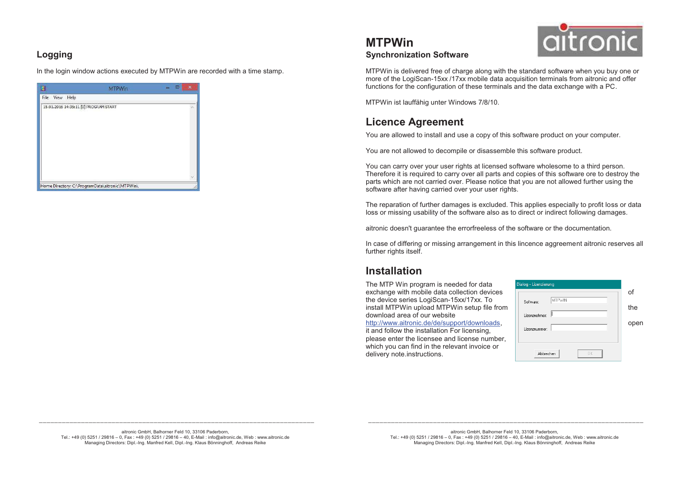### **Logging**

In the login window actions executed by MTPWin are recorded with a time stamp.

|                |                                                 | $\overline{\phantom{a}}$ | $\boldsymbol{\mathsf{x}}$ |
|----------------|-------------------------------------------------|--------------------------|---------------------------|
| File View Help |                                                 |                          |                           |
|                | 15.01.2016 14:35:11 [0] PROGRAM START           |                          | 冰                         |
|                |                                                 |                          |                           |
|                |                                                 |                          |                           |
|                |                                                 |                          |                           |
|                |                                                 |                          |                           |
|                |                                                 |                          |                           |
|                |                                                 |                          |                           |
|                |                                                 |                          |                           |
|                |                                                 |                          |                           |
|                | Home Directory: C:\ProgramData\aitronic\MTPWin\ |                          |                           |

# aitronic

MTPWin is delivered free of charge along with the standard software when you buy one or more of the LogiScan-15xx /17xx mobile data acquisition terminals from aitronic and offer functions for the configuration of these terminals and the data exchange with a PC.

MTPWin ist lauffähig unter Windows 7/8/10.

## **Licence Agreement**

**Synchronization Software**

**MTPWin** 

You are allowed to install and use a copy of this software product on your computer.

You are not allowed to decompile or disassemble this software product.

You can carry over your user rights at licensed software wholesome to a third person. Therefore it is required to carry over all parts and copies of this software ore to destroy the parts which are not carried over. Please notice that you are not allowed further using the software after having carried over your user rights.

The reparation of further damages is excluded. This applies especially to profit loss or data loss or missing usability of the software also as to direct or indirect following damages.

aitronic doesn't guarantee the errorfreeless of the software or the documentation.

In case of differing or missing arrangement in this lincence aggreement aitronic reserves all further rights itself.

## **Installation**

delivery note.instructions.

The MTP Win program is needed for data exchange with mobile data collection devices of the collection of the collection of the collection of the collection of the collection of the collection of the collection of the collection of the collection of the collecti the device series LogiScan-15xx/17xx. To install MTPWin upload MTPWin setup file from  $\begin{array}{|c|c|}\hline \end{array}$   $\begin{array}{|c|c|}\hline \end{array}$ download area of our website http://www.aitronic.de/de/support/downloads, open it and follow the installation For licensing, please enter the licensee and license number, which you can find in the relevant invoice or

| Dialog - Lizenzierung      |          |
|----------------------------|----------|
| MTPWIN                     | of       |
| Software:<br>Lizenznehmer: | the      |
| Lizenznummer:              | eı<br>op |
| Abbrechen<br><b>DK</b>     |          |

 **\_\_\_\_\_\_\_\_\_\_\_\_\_\_\_\_\_\_\_\_\_\_\_\_\_\_\_\_\_\_\_\_\_\_\_\_\_\_\_\_\_\_\_\_\_\_\_\_\_\_\_\_\_\_\_\_\_\_\_\_\_\_\_\_\_\_\_\_\_\_\_\_** aitronic GmbH, Balhorner Feld 10, 33106 Paderborn, Tel.: +49 (0) 5251 / 29816 – 0, Fax : +49 (0) 5251 / 29816 – 40, E-Mail : info@aitronic.de, Web : www.aitronic.de Managing Directors: Dipl.-Ing. Manfred Kell, Dipl.-Ing. Klaus Bönninghoff, Andreas Reike

 **\_\_\_\_\_\_\_\_\_\_\_\_\_\_\_\_\_\_\_\_\_\_\_\_\_\_\_\_\_\_\_\_\_\_\_\_\_\_\_\_\_\_\_\_\_\_\_\_\_\_\_\_\_\_\_\_\_\_\_\_\_\_\_\_\_\_\_\_\_\_\_\_** aitronic GmbH, Balhorner Feld 10, 33106 Paderborn, Tel.: +49 (0) 5251 / 29816 – 0, Fax : +49 (0) 5251 / 29816 – 40, E-Mail : info@aitronic.de, Web : www.aitronic.de Managing Directors: Dipl.-Ing. Manfred Kell, Dipl.-Ing. Klaus Bönninghoff, Andreas Reike